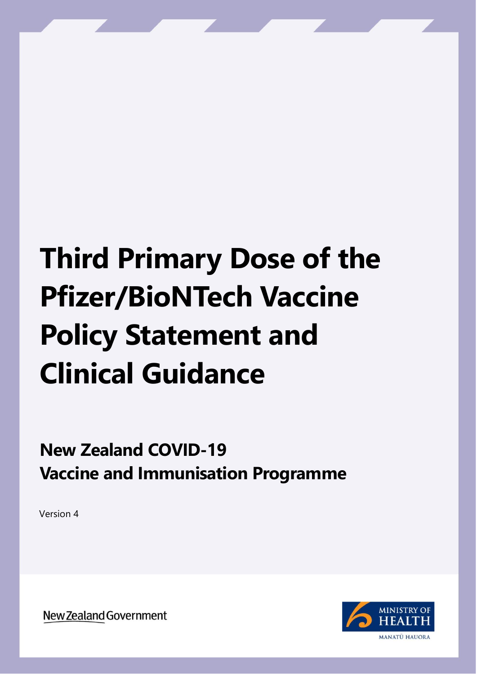## **Third Primary Dose of the Pfizer/BioNTech Vaccine Policy Statement and Clinical Guidance**

#### **New Zealand COVID-19 Vaccine and Immunisation Programme**

Version 4

**New Zealand Government** 

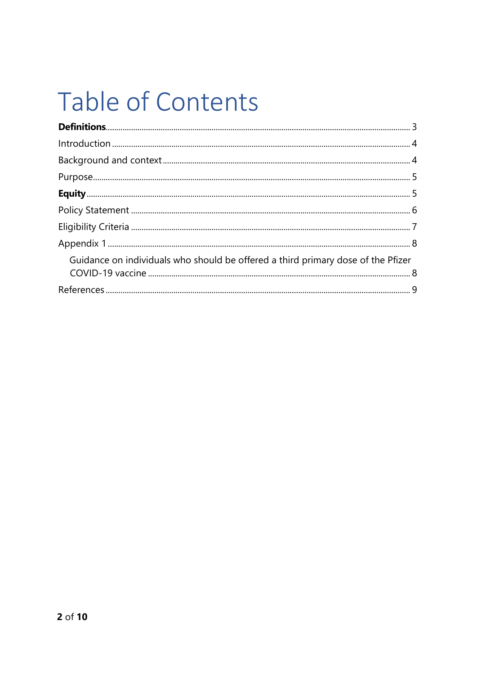#### Table of Contents

| Guidance on individuals who should be offered a third primary dose of the Pfizer |
|----------------------------------------------------------------------------------|
|                                                                                  |
|                                                                                  |
|                                                                                  |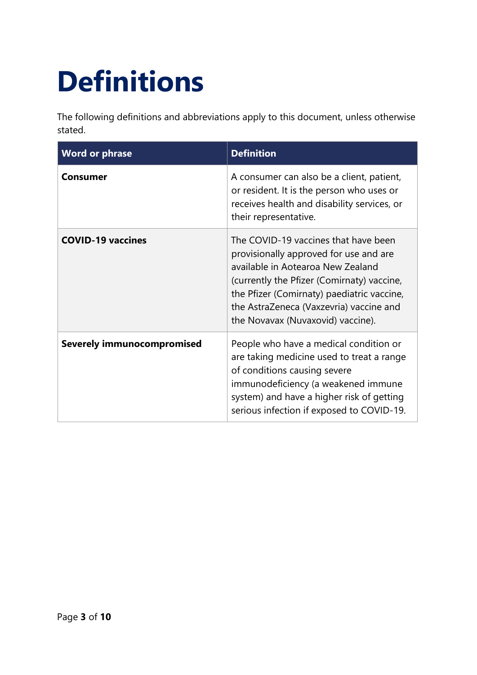## <span id="page-2-0"></span>**Definitions**

The following definitions and abbreviations apply to this document, unless otherwise stated.

| <b>Word or phrase</b>             | <b>Definition</b>                                                                                                                                                                                                                                                                               |
|-----------------------------------|-------------------------------------------------------------------------------------------------------------------------------------------------------------------------------------------------------------------------------------------------------------------------------------------------|
| Consumer                          | A consumer can also be a client, patient,<br>or resident. It is the person who uses or<br>receives health and disability services, or<br>their representative.                                                                                                                                  |
| <b>COVID-19 vaccines</b>          | The COVID-19 vaccines that have been<br>provisionally approved for use and are<br>available in Aotearoa New Zealand<br>(currently the Pfizer (Comirnaty) vaccine,<br>the Pfizer (Comirnaty) paediatric vaccine,<br>the AstraZeneca (Vaxzevria) vaccine and<br>the Novavax (Nuvaxovid) vaccine). |
| <b>Severely immunocompromised</b> | People who have a medical condition or<br>are taking medicine used to treat a range<br>of conditions causing severe<br>immunodeficiency (a weakened immune<br>system) and have a higher risk of getting<br>serious infection if exposed to COVID-19.                                            |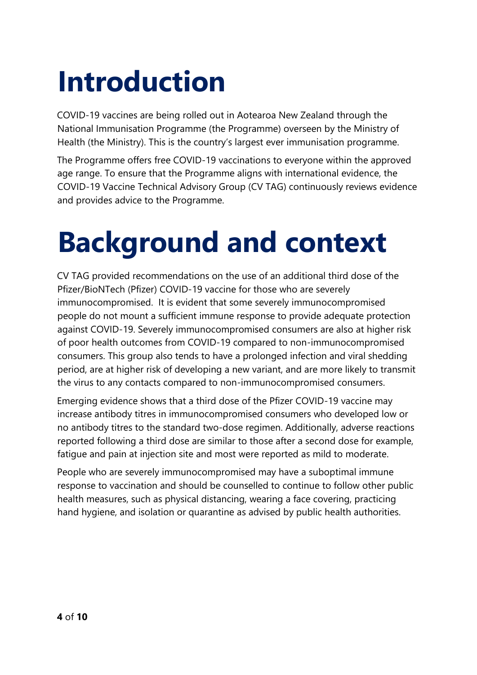## <span id="page-3-0"></span>**Introduction**

COVID-19 vaccines are being rolled out in Aotearoa New Zealand through the National Immunisation Programme (the Programme) overseen by the Ministry of Health (the Ministry). This is the country's largest ever immunisation programme.

The Programme offers free COVID-19 vaccinations to everyone within the approved age range. To ensure that the Programme aligns with international evidence, the COVID-19 Vaccine Technical Advisory Group (CV TAG) continuously reviews evidence and provides advice to the Programme.

### <span id="page-3-1"></span>**Background and context**

CV TAG provided recommendations on the use of an additional third dose of the Pfizer/BioNTech (Pfizer) COVID-19 vaccine for those who are severely immunocompromised. It is evident that some severely immunocompromised people do not mount a sufficient immune response to provide adequate protection against COVID-19. Severely immunocompromised consumers are also at higher risk of poor health outcomes from COVID-19 compared to non-immunocompromised consumers. This group also tends to have a prolonged infection and viral shedding period, are at higher risk of developing a new variant, and are more likely to transmit the virus to any contacts compared to non-immunocompromised consumers.

Emerging evidence shows that a third dose of the Pfizer COVID-19 vaccine may increase antibody titres in immunocompromised consumers who developed low or no antibody titres to the standard two-dose regimen. Additionally, adverse reactions reported following a third dose are similar to those after a second dose for example, fatigue and pain at injection site and most were reported as mild to moderate.

People who are severely immunocompromised may have a suboptimal immune response to vaccination and should be counselled to continue to follow other public health measures, such as physical distancing, wearing a face covering, practicing hand hygiene, and isolation or quarantine as advised by public health authorities.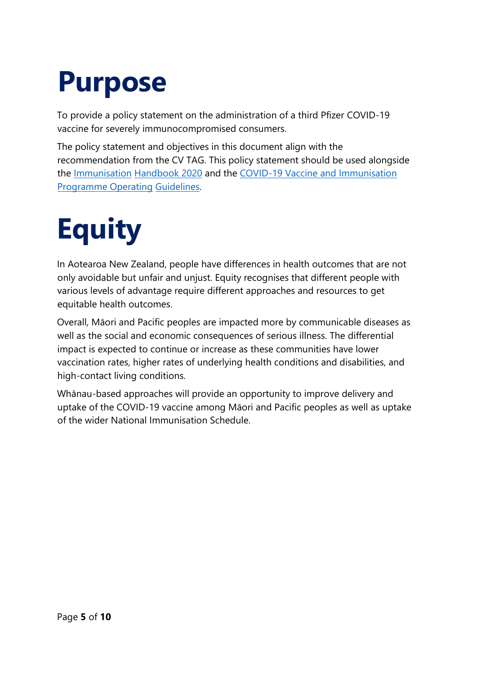#### <span id="page-4-0"></span>**Purpose**

To provide a policy statement on the administration of a third Pfizer COVID-19 vaccine for severely immunocompromised consumers.

The policy statement and objectives in this document align with the recommendation from the CV TAG. This policy statement should be used alongside the [Immunisation](https://www.health.govt.nz/our-work/immunisation-handbook-2020) [Handbook 2020](https://www.health.govt.nz/our-work/immunisation-handbook-2020) and the [COVID-19 Vaccine and Immunisation](https://www.health.govt.nz/our-work/diseases-and-conditions/covid-19-novel-coronavirus/covid-19-vaccines/covid-19-vaccine-information-health-professionals%23operate)  [Programme Operating](https://www.health.govt.nz/our-work/diseases-and-conditions/covid-19-novel-coronavirus/covid-19-vaccines/covid-19-vaccine-information-health-professionals%23operate) [Guidelines.](https://www.health.govt.nz/our-work/diseases-and-conditions/covid-19-novel-coronavirus/covid-19-vaccines/covid-19-vaccine-information-health-professionals%23operate) 

## <span id="page-4-1"></span>**Equity**

In Aotearoa New Zealand, people have differences in health outcomes that are not only avoidable but unfair and unjust. Equity recognises that different people with various levels of advantage require different approaches and resources to get equitable health outcomes.

Overall, Māori and Pacific peoples are impacted more by communicable diseases as well as the social and economic consequences of serious illness. The differential impact is expected to continue or increase as these communities have lower vaccination rates, higher rates of underlying health conditions and disabilities, and high-contact living conditions.

Whānau-based approaches will provide an opportunity to improve delivery and uptake of the COVID-19 vaccine among Māori and Pacific peoples as well as uptake of the wider National Immunisation Schedule.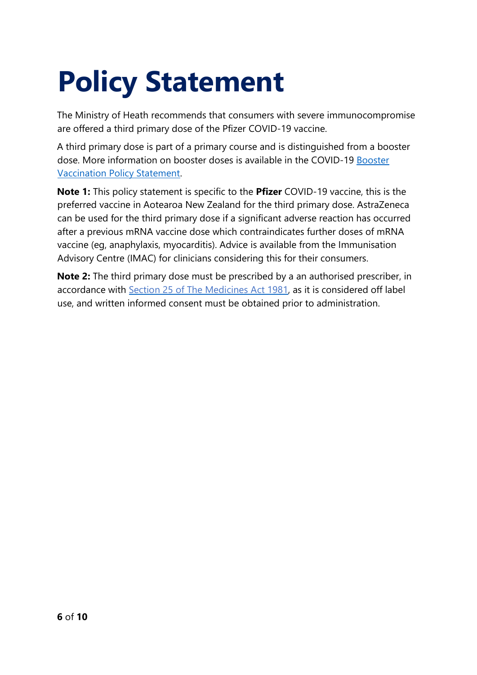## <span id="page-5-0"></span>**Policy Statement**

The Ministry of Heath recommends that consumers with severe immunocompromise are offered a third primary dose of the Pfizer COVID-19 vaccine.

A third primary dose is part of a primary course and is distinguished from a booster dose. More information on booster doses is available in the COVID-19 [Booster](https://www.health.govt.nz/covid-19-novel-coronavirus/covid-19-vaccines/covid-19-vaccine-information-health-professionals/covid-19-vaccine-policy-statements-and-clinical-guidance#booster)  [Vaccination Policy Statement.](https://www.health.govt.nz/covid-19-novel-coronavirus/covid-19-vaccines/covid-19-vaccine-information-health-professionals/covid-19-vaccine-policy-statements-and-clinical-guidance#booster)

**Note 1:** This policy statement is specific to the **Pfizer** COVID-19 vaccine, this is the preferred vaccine in Aotearoa New Zealand for the third primary dose. AstraZeneca can be used for the third primary dose if a significant adverse reaction has occurred after a previous mRNA vaccine dose which contraindicates further doses of mRNA vaccine (eg, anaphylaxis, myocarditis). Advice is available from the Immunisation Advisory Centre (IMAC) for clinicians considering this for their consumers.

**Note 2:** The third primary dose must be prescribed by a an authorised prescriber, in accordance with [Section 25 of The Medicines Act 1981,](https://www.legislation.govt.nz/act/public/1981/0118/latest/DLM55417.html) as it is considered off label use, and written informed consent must be obtained prior to administration.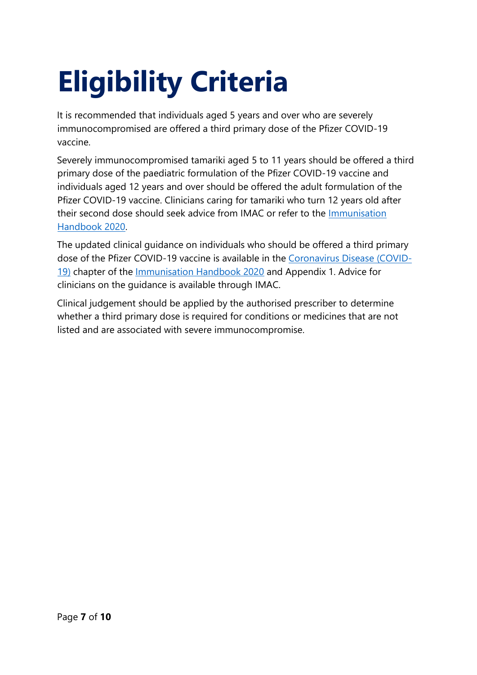# <span id="page-6-0"></span>**Eligibility Criteria**

It is recommended that individuals aged 5 years and over who are severely immunocompromised are offered a third primary dose of the Pfizer COVID-19 vaccine.

Severely immunocompromised tamariki aged 5 to 11 years should be offered a third primary dose of the paediatric formulation of the Pfizer COVID-19 vaccine and individuals aged 12 years and over should be offered the adult formulation of the Pfizer COVID-19 vaccine. Clinicians caring for tamariki who turn 12 years old after their second dose should seek advice from IMAC or refer to the [Immunisation](https://www.health.govt.nz/our-work/immunisation-handbook-2020/5-coronavirus-disease-covid-19)  [Handbook 2020.](https://www.health.govt.nz/our-work/immunisation-handbook-2020/5-coronavirus-disease-covid-19)

The updated clinical guidance on individuals who should be offered a third primary dose of the Pfizer COVID-19 vaccine is available in the [Coronavirus Disease \(COVID-](https://www.health.govt.nz/our-work/immunisation-handbook-2020/5-coronavirus-disease-covid-19#23-5)[19\)](https://www.health.govt.nz/our-work/immunisation-handbook-2020/5-coronavirus-disease-covid-19#23-5) chapter of the [Immunisation Handbook 2020](https://www.health.govt.nz/our-work/immunisation-handbook-2020/5-coronavirus-disease-covid-19) and Appendix 1. Advice for clinicians on the guidance is available through IMAC.

Clinical judgement should be applied by the authorised prescriber to determine whether a third primary dose is required for conditions or medicines that are not listed and are associated with severe immunocompromise.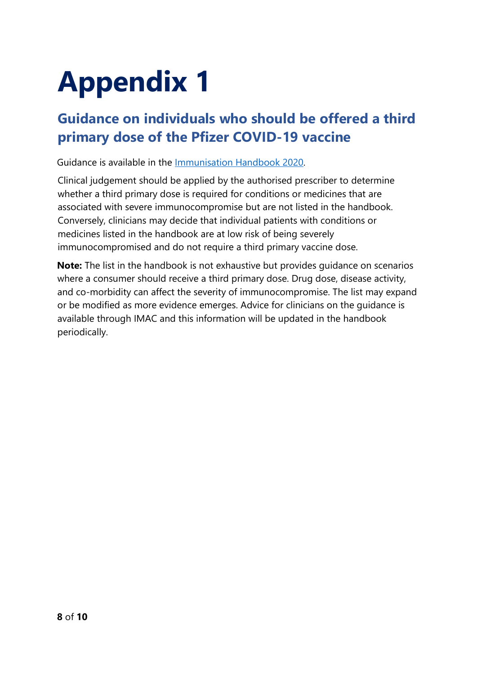## <span id="page-7-0"></span>**Appendix 1**

#### <span id="page-7-1"></span>**Guidance on individuals who should be offered a third primary dose of the Pfizer COVID-19 vaccine**

Guidance is available in the [Immunisation Handbook](https://www.health.govt.nz/publication/immunisation-handbook-2020) 2020.

Clinical judgement should be applied by the authorised prescriber to determine whether a third primary dose is required for conditions or medicines that are associated with severe immunocompromise but are not listed in the handbook. Conversely, clinicians may decide that individual patients with conditions or medicines listed in the handbook are at low risk of being severely immunocompromised and do not require a third primary vaccine dose.

**Note:** The list in the handbook is not exhaustive but provides guidance on scenarios where a consumer should receive a third primary dose. Drug dose, disease activity, and co-morbidity can affect the severity of immunocompromise. The list may expand or be modified as more evidence emerges. Advice for clinicians on the guidance is available through IMAC and this information will be updated in the handbook periodically.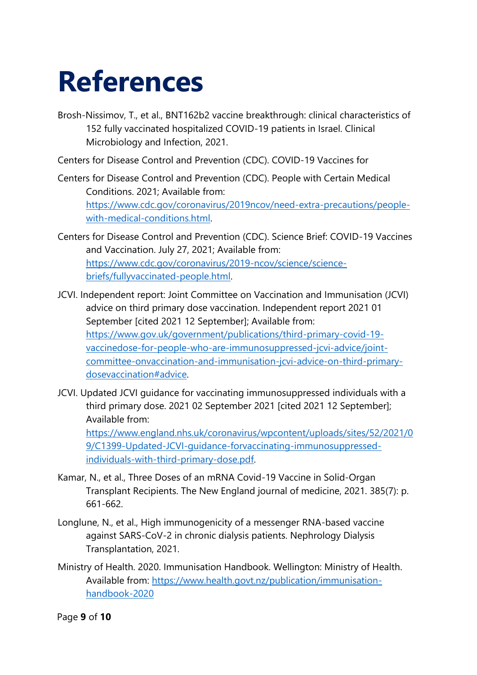#### <span id="page-8-0"></span>**References**

- Brosh-Nissimov, T., et al., BNT162b2 vaccine breakthrough: clinical characteristics of 152 fully vaccinated hospitalized COVID-19 patients in Israel. Clinical Microbiology and Infection, 2021.
- Centers for Disease Control and Prevention (CDC). COVID-19 Vaccines for
- Centers for Disease Control and Prevention (CDC). People with Certain Medical Conditions. 2021; Available from: [https://www.cdc.gov/coronavirus/2019ncov/need-extra-precautions/people](https://www.cdc.gov/coronavirus/2019ncov/need-extra-precautions/people-with-medical-conditions.html)[with-medical-conditions.html.](https://www.cdc.gov/coronavirus/2019ncov/need-extra-precautions/people-with-medical-conditions.html)
- Centers for Disease Control and Prevention (CDC). Science Brief: COVID-19 Vaccines and Vaccination. July 27, 2021; Available from: [https://www.cdc.gov/coronavirus/2019-ncov/science/science](https://www.cdc.gov/coronavirus/2019-ncov/science/science-briefs/fullyvaccinated-people.html)[briefs/fullyvaccinated-people.html.](https://www.cdc.gov/coronavirus/2019-ncov/science/science-briefs/fullyvaccinated-people.html)
- JCVI. Independent report: Joint Committee on Vaccination and Immunisation (JCVI) advice on third primary dose vaccination. Independent report 2021 01 September [cited 2021 12 September]; Available from: [https://www.gov.uk/government/publications/third-primary-covid-19](https://www.gov.uk/government/publications/third-primary-covid-19-vaccinedose-for-people-who-are-immunosuppressed-jcvi-advice/joint-committee-onvaccination-and-immunisation-jcvi-advice-on-third-primary-dosevaccination#advice) [vaccinedose-for-people-who-are-immunosuppressed-jcvi-advice/joint](https://www.gov.uk/government/publications/third-primary-covid-19-vaccinedose-for-people-who-are-immunosuppressed-jcvi-advice/joint-committee-onvaccination-and-immunisation-jcvi-advice-on-third-primary-dosevaccination#advice)[committee-onvaccination-and-immunisation-jcvi-advice-on-third-primary](https://www.gov.uk/government/publications/third-primary-covid-19-vaccinedose-for-people-who-are-immunosuppressed-jcvi-advice/joint-committee-onvaccination-and-immunisation-jcvi-advice-on-third-primary-dosevaccination#advice)[dosevaccination#advice.](https://www.gov.uk/government/publications/third-primary-covid-19-vaccinedose-for-people-who-are-immunosuppressed-jcvi-advice/joint-committee-onvaccination-and-immunisation-jcvi-advice-on-third-primary-dosevaccination#advice)
- JCVI. Updated JCVI guidance for vaccinating immunosuppressed individuals with a third primary dose. 2021 02 September 2021 [cited 2021 12 September]; Available from: [https://www.england.nhs.uk/coronavirus/wpcontent/uploads/sites/52/2021/0](https://www.england.nhs.uk/coronavirus/wpcontent/uploads/sites/52/2021/09/C1399-Updated-JCVI-guidance-forvaccinating-immunosuppressed-individuals-with-third-primary-dose.pdf) [9/C1399-Updated-JCVI-guidance-forvaccinating-immunosuppressed](https://www.england.nhs.uk/coronavirus/wpcontent/uploads/sites/52/2021/09/C1399-Updated-JCVI-guidance-forvaccinating-immunosuppressed-individuals-with-third-primary-dose.pdf)[individuals-with-third-primary-dose.pdf.](https://www.england.nhs.uk/coronavirus/wpcontent/uploads/sites/52/2021/09/C1399-Updated-JCVI-guidance-forvaccinating-immunosuppressed-individuals-with-third-primary-dose.pdf)
- Kamar, N., et al., Three Doses of an mRNA Covid-19 Vaccine in Solid-Organ Transplant Recipients. The New England journal of medicine, 2021. 385(7): p. 661-662.
- Longlune, N., et al., High immunogenicity of a messenger RNA-based vaccine against SARS-CoV-2 in chronic dialysis patients. Nephrology Dialysis Transplantation, 2021.
- Ministry of Health. 2020. Immunisation Handbook. Wellington: Ministry of Health. Available from: [https://www.health.govt.nz/publication/immunisation](https://www.health.govt.nz/publication/immunisation-handbook-2020)[handbook-2020](https://www.health.govt.nz/publication/immunisation-handbook-2020)